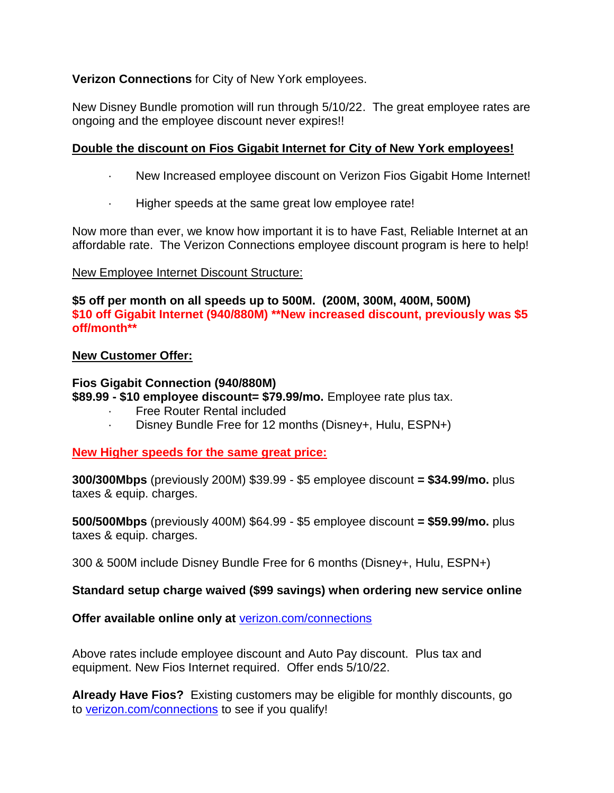## **Verizon Connections** for City of New York employees.

New Disney Bundle promotion will run through 5/10/22. The great employee rates are ongoing and the employee discount never expires!!

## **Double the discount on Fios Gigabit Internet for City of New York employees!**

- · New Increased employee discount on Verizon Fios Gigabit Home Internet!
- Higher speeds at the same great low employee rate!

Now more than ever, we know how important it is to have Fast, Reliable Internet at an affordable rate. The Verizon Connections employee discount program is here to help!

### New Employee Internet Discount Structure:

**\$5 off per month on all speeds up to 500M. (200M, 300M, 400M, 500M) \$10 off Gigabit Internet (940/880M) \*\*New increased discount, previously was \$5 off/month\*\***

#### **New Customer Offer:**

### **Fios Gigabit Connection (940/880M)**

**\$89.99 - \$10 employee discount= \$79.99/mo.** Employee rate plus tax.

- Free Router Rental included
- · Disney Bundle Free for 12 months (Disney+, Hulu, ESPN+)

### **New Higher speeds for the same great price:**

**300/300Mbps** (previously 200M) \$39.99 - \$5 employee discount **= \$34.99/mo.** plus taxes & equip. charges.

**500/500Mbps** (previously 400M) \$64.99 - \$5 employee discount **= \$59.99/mo.** plus taxes & equip. charges.

300 & 500M include Disney Bundle Free for 6 months (Disney+, Hulu, ESPN+)

### **Standard setup charge waived (\$99 savings) when ordering new service online**

### **Offer available online only at** [verizon.com/connections](https://www.verizon.com/home/verizonconnections?CMP=OLA_CON_OTH_22222_NA_20160207_NA_NM20140767_00001)

Above rates include employee discount and Auto Pay discount. Plus tax and equipment. New Fios Internet required. Offer ends 5/10/22.

**Already Have Fios?** Existing customers may be eligible for monthly discounts, go to [verizon.com/connections](http://verizon.com/connections) to see if you qualify!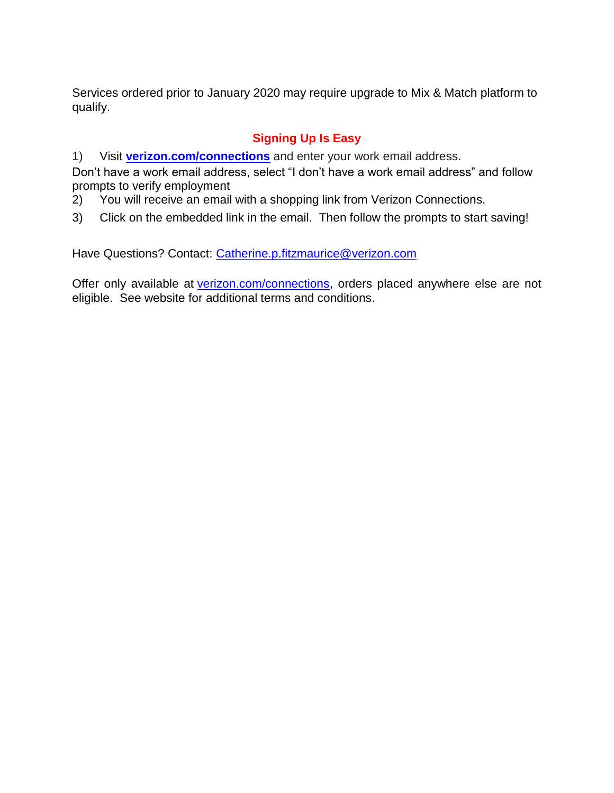Services ordered prior to January 2020 may require upgrade to Mix & Match platform to qualify.

## **Signing Up Is Easy**

1) Visit **[verizon.com/connections](https://www.verizon.com/home/verizonconnections?CMP=OLA_CON_OTH_22222_NA_20160207_NA_NM20140767_00001)** and enter your work email address.

Don't have a work email address, select "I don't have a work email address" and follow prompts to verify employment

- 2) You will receive an email with a shopping link from Verizon Connections.
- 3) Click on the embedded link in the email. Then follow the prompts to start saving!

Have Questions? Contact: [Catherine.p.fitzmaurice@verizon.com](mailto:Catherine.p.fitzmaurice@verizon.com)

Offer only available at [verizon.com/connections,](http://verizon.com/connections) orders placed anywhere else are not eligible. See website for additional terms and conditions.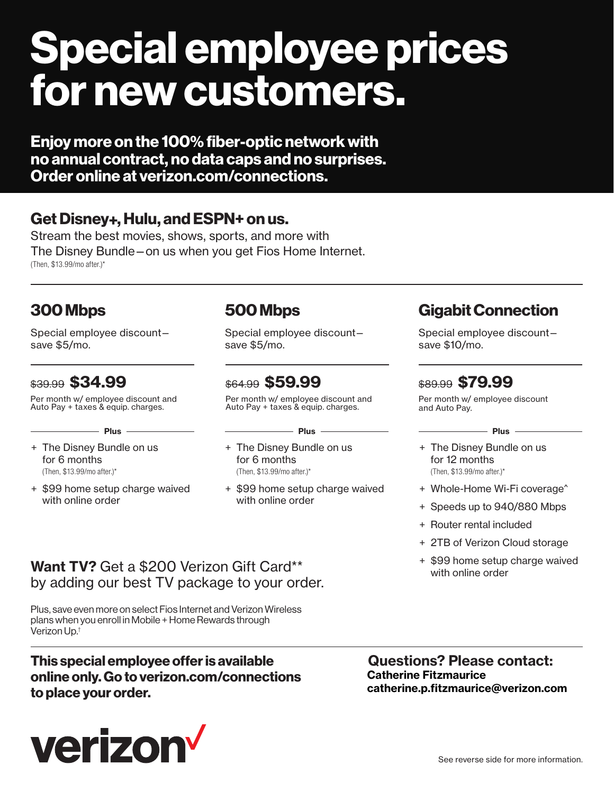# **[Special employee prices](https://www.verizon.com/home/verizonconnections?CMP=OLA_CON_OTH_22222_NA_20160207_NA_NM20140767_00001)  for new customers.**

**Enjoy more on the 100% fiber-optic network with no annual contract, no data caps and no surprises. Order online at verizon.com/connections.**

## **Get Disney+, Hulu, and ESPN+ on us.**

Stream the best movies, shows, sports, and more with The Disney Bundle—on us when you get Fios Home Internet. (Then, \$13.99/mo after.)\*

# **300 Mbps**

Special employee discount save \$5/mo.

\$39.99 **\$34.99** Per month w/ employee discount and Auto Pay + taxes & equip. charges.

 $-$  **Plus**  $-$ 

- + The Disney Bundle on us for 6 months (Then, \$13.99/mo after.)\*
- + \$99 home setup charge waived with online order

## **500 Mbps**

Special employee discount save \$5/mo.

\$64.99 **\$59.99**

Per month w/ employee discount and Auto Pay + taxes & equip. charges.

 $-$  **Plus**  $-$ 

- + The Disney Bundle on us for 6 months (Then, \$13.99/mo after.)\*
- + \$99 home setup charge waived with online order

# **Gigabit Connection**

Special employee discount save \$10/mo.

## \$89.99 **\$79.99**

Per month w/ employee discount and Auto Pay.

 $-$  **Plus**  $-$ 

- + The Disney Bundle on us for 12 months (Then, \$13.99/mo after.)\*
- + Whole-Home Wi-Fi coverage^
- + Speeds up to 940/880 Mbps
- + Router rental included
- + 2TB of Verizon Cloud storage
- + \$99 home setup charge waived with online order

## **Want TV?** Get a \$200 Verizon Gift Card\*\* by adding our best TV package to your order.

Plus, save even more on select Fios Internet and Verizon Wireless plans when you enroll in Mobile + Home Rewards through Verizon Up.†

## **This special employee offer is available online only. Go to verizon.com/connections to place your order.**



**Questions? Please contact: Catherine Fitzmaurice catherine.p.fitzmaurice@verizon.com**